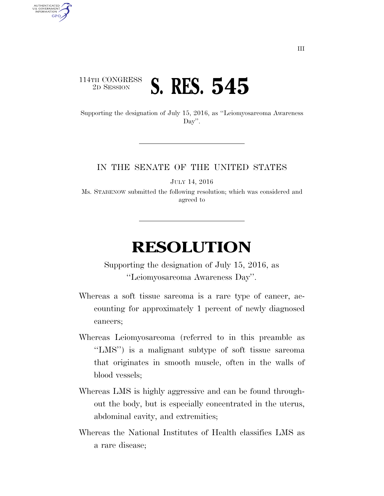## 114TH CONGRESS <sup>2D SESSION</sup> **S. RES. 545**

U.S. GOVERNMENT **GPO** 

> Supporting the designation of July 15, 2016, as ''Leiomyosarcoma Awareness Day''.

## IN THE SENATE OF THE UNITED STATES

JULY 14, 2016

Ms. STABENOW submitted the following resolution; which was considered and agreed to

## **RESOLUTION**

Supporting the designation of July 15, 2016, as ''Leiomyosarcoma Awareness Day''.

- Whereas a soft tissue sarcoma is a rare type of cancer, accounting for approximately 1 percent of newly diagnosed cancers;
- Whereas Leiomyosarcoma (referred to in this preamble as ''LMS'') is a malignant subtype of soft tissue sarcoma that originates in smooth muscle, often in the walls of blood vessels;
- Whereas LMS is highly aggressive and can be found throughout the body, but is especially concentrated in the uterus, abdominal cavity, and extremities;
- Whereas the National Institutes of Health classifies LMS as a rare disease;